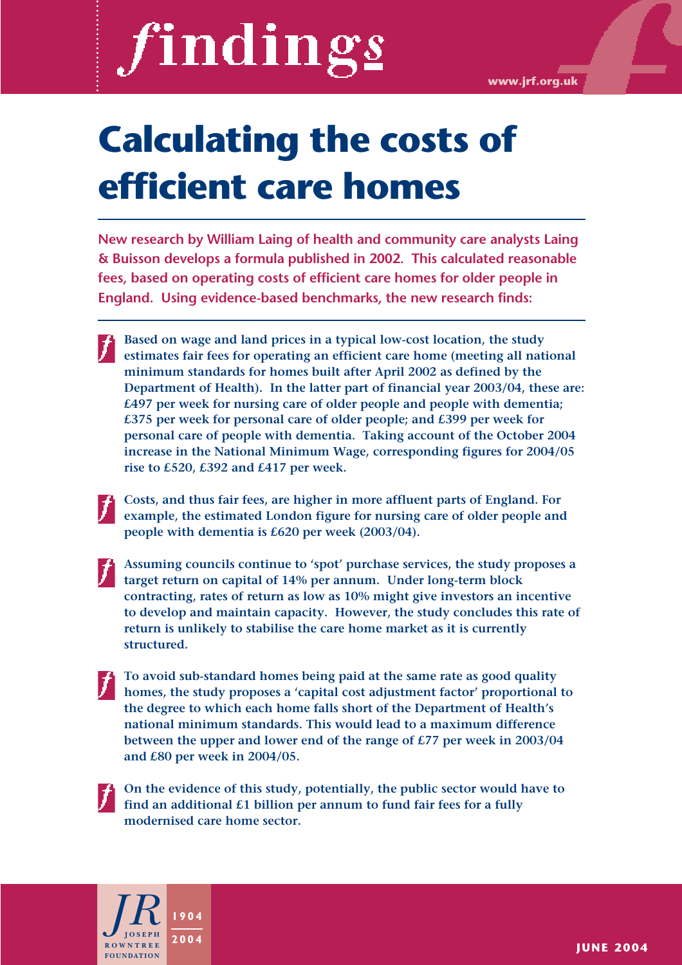# findings

**www.jrf.org.uk**

# **Calculating the costs of efficient care homes**

**New research by William Laing of health and community care analysts Laing & Buisson develops a formula published in 2002. This calculated reasonable fees, based on operating costs of efficient care homes for older people in England. Using evidence-based benchmarks, the new research finds:**

- **Based on wage and land prices in a typical low-cost location, the study estimates fair fees for operating an efficient care home (meeting all national minimum standards for homes built after April 2002 as defined by the Department of Health). In the latter part of financial year 2003/04, these are: £497 per week for nursing care of older people and people with dementia; £375 per week for personal care of older people; and £399 per week for personal care of people with dementia. Taking account of the October 2004 increase in the National Minimum Wage, corresponding figures for 2004/05 rise to £520, £392 and £417 per week.**
- **Costs, and thus fair fees, are higher in more affluent parts of England. For example, the estimated London figure for nursing care of older people and people with dementia is £620 per week (2003/04).**
- **Assuming councils continue to 'spot' purchase services, the study proposes a target return on capital of 14% per annum. Under long-term block contracting, rates of return as low as 10% might give investors an incentive to develop and maintain capacity. However, the study concludes this rate of return is unlikely to stabilise the care home market as it is currently structured.**
- **To avoid sub-standard homes being paid at the same rate as good quality homes, the study proposes a 'capital cost adjustment factor' proportional to the degree to which each home falls short of the Department of Health's national minimum standards. This would lead to a maximum difference between the upper and lower end of the range of £77 per week in 2003/04 and £80 per week in 2004/05.** 
	- **On the evidence of this study, potentially, the public sector would have to find an additional £1 billion per annum to fund fair fees for a fully modernised care home sector.**

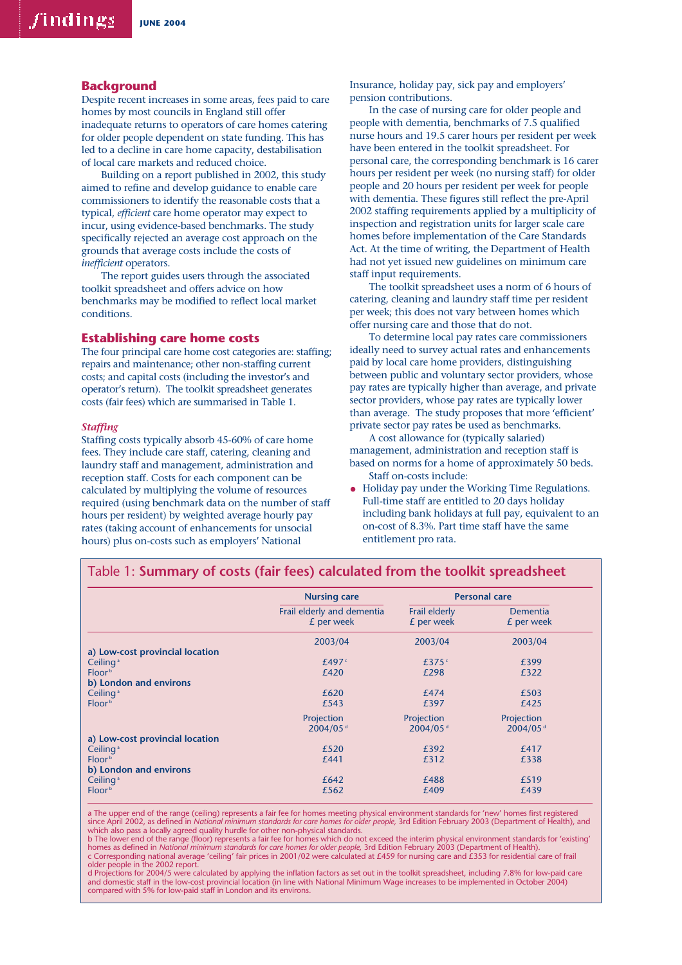#### **Background**

Despite recent increases in some areas, fees paid to care homes by most councils in England still offer inadequate returns to operators of care homes catering for older people dependent on state funding. This has led to a decline in care home capacity, destabilisation of local care markets and reduced choice.

Building on a report published in 2002, this study aimed to refine and develop guidance to enable care commissioners to identify the reasonable costs that a typical, *efficient* care home operator may expect to incur, using evidence-based benchmarks. The study specifically rejected an average cost approach on the grounds that average costs include the costs of *inefficient* operators.

The report guides users through the associated toolkit spreadsheet and offers advice on how benchmarks may be modified to reflect local market conditions.

#### **Establishing care home costs**

The four principal care home cost categories are: staffing; repairs and maintenance; other non-staffing current costs; and capital costs (including the investor's and operator's return). The toolkit spreadsheet generates costs (fair fees) which are summarised in Table 1.

#### *Staffing*

Staffing costs typically absorb 45-60% of care home fees. They include care staff, catering, cleaning and laundry staff and management, administration and reception staff. Costs for each component can be calculated by multiplying the volume of resources required (using benchmark data on the number of staff hours per resident) by weighted average hourly pay rates (taking account of enhancements for unsocial hours) plus on-costs such as employers' National

Insurance, holiday pay, sick pay and employers' pension contributions.

In the case of nursing care for older people and people with dementia, benchmarks of 7.5 qualified nurse hours and 19.5 carer hours per resident per week have been entered in the toolkit spreadsheet. For personal care, the corresponding benchmark is 16 carer hours per resident per week (no nursing staff) for older people and 20 hours per resident per week for people with dementia. These figures still reflect the pre-April 2002 staffing requirements applied by a multiplicity of inspection and registration units for larger scale care homes before implementation of the Care Standards Act. At the time of writing, the Department of Health had not yet issued new guidelines on minimum care staff input requirements.

The toolkit spreadsheet uses a norm of 6 hours of catering, cleaning and laundry staff time per resident per week; this does not vary between homes which offer nursing care and those that do not.

To determine local pay rates care commissioners ideally need to survey actual rates and enhancements paid by local care home providers, distinguishing between public and voluntary sector providers, whose pay rates are typically higher than average, and private sector providers, whose pay rates are typically lower than average. The study proposes that more 'efficient' private sector pay rates be used as benchmarks.

A cost allowance for (typically salaried) management, administration and reception staff is based on norms for a home of approximately 50 beds. Staff on-costs include:

• Holiday pay under the Working Time Regulations. Full-time staff are entitled to 20 days holiday including bank holidays at full pay, equivalent to an on-cost of 8.3%. Part time staff have the same entitlement pro rata.

|                                   | <b>Nursing care</b>                      | <b>Personal care</b>        |                               |  |
|-----------------------------------|------------------------------------------|-----------------------------|-------------------------------|--|
|                                   | Frail elderly and dementia<br>£ per week | Frail elderly<br>£ per week | <b>Dementia</b><br>£ per week |  |
|                                   | 2003/04                                  | 2003/04                     | 2003/04                       |  |
| a) Low-cost provincial location   |                                          |                             |                               |  |
| Ceiling <sup><math>a</math></sup> | £497 $\epsilon$                          | £375 $\degree$              | £399                          |  |
| Floor <sup>b</sup>                | £420                                     | £298                        | £322                          |  |
| b) London and environs            |                                          |                             |                               |  |
| Ceiling <sup>a</sup>              | £620                                     | £474                        | £503                          |  |
| Floor <sup>b</sup>                | £543                                     | £397                        | £425                          |  |
|                                   | Projection                               | Projection                  | Projection                    |  |
|                                   | 2004/05 <sup>d</sup>                     | 2004/05 <sup>d</sup>        | 2004/05 <sup>d</sup>          |  |
| a) Low-cost provincial location   |                                          |                             |                               |  |
| Ceiling <sup>a</sup>              | £520                                     | £392                        | £417                          |  |
| Floor <sup>b</sup>                | £441                                     | £312                        | £338                          |  |
| b) London and environs            |                                          |                             |                               |  |
| Ceiling <sup>a</sup>              | £642                                     | £488                        | £519                          |  |
| Floor <sup>b</sup>                | £562                                     | £409                        | £439                          |  |

Table 1: **Summary of costs (fair fees) calculated from the toolkit spreadsheet**

a The upper end of the range (ceiling) represents a fair fee for homes meeting physical environment standards for 'new' homes first registered since April 2002, as defined in *National minimum standards for care homes for older people,* 3rd Edition February 2003 (Department of Health), and<br>which also pass a locally agreed quality hurdle for other non-physical sta

homes as defined in *National minimum standards for care homes for older people,* 3rd Edition February 2003 (Department of Health).<br>c Corresponding national average 'ceiling' fair prices in 2001/02 were calculated at £459 older people in the 2002 report.

d Projections for 2004/5 were calculated by applying the inflation factors as set out in the toolkit spreadsheet, including 7.8% for low-paid care and domestic staff in the low-cost provincial location (in line with National Minimum Wage increases to be implemented in October 2004) compared with 5% for low-paid staff in London and its environs.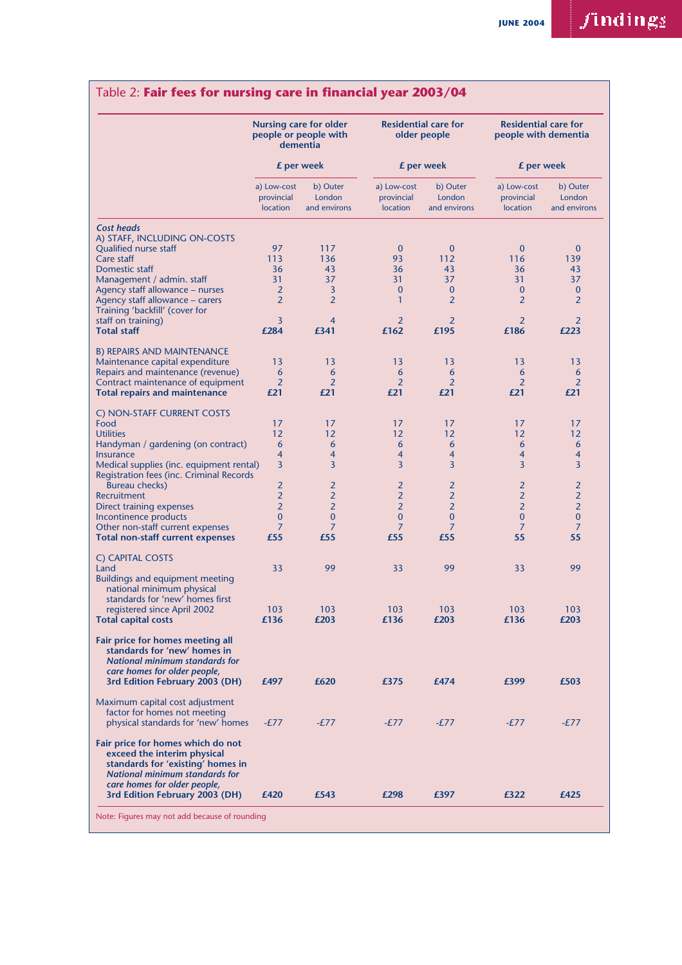## $finding_2$

### Table 2: **Fair fees for nursing care in financial year 2003/04**

|                                                                                                                                                                                |                                       | <b>Nursing care for older</b><br>people or people with<br>dementia<br>£ per week |                                       | <b>Residential care for</b><br>older people<br>£ per week |                                       | <b>Residential care for</b><br>people with dementia<br>£ per week |  |
|--------------------------------------------------------------------------------------------------------------------------------------------------------------------------------|---------------------------------------|----------------------------------------------------------------------------------|---------------------------------------|-----------------------------------------------------------|---------------------------------------|-------------------------------------------------------------------|--|
|                                                                                                                                                                                |                                       |                                                                                  |                                       |                                                           |                                       |                                                                   |  |
|                                                                                                                                                                                | a) Low-cost<br>provincial<br>location | b) Outer<br>London<br>and environs                                               | a) Low-cost<br>provincial<br>location | b) Outer<br>London<br>and environs                        | a) Low-cost<br>provincial<br>location | b) Outer<br>London<br>and environs                                |  |
| <b>Cost heads</b><br>A) STAFF, INCLUDING ON-COSTS                                                                                                                              |                                       |                                                                                  |                                       |                                                           |                                       |                                                                   |  |
| Qualified nurse staff                                                                                                                                                          | 97                                    | 117                                                                              | $\mathbf 0$                           | $\mathbf{0}$                                              | $\bf{0}$                              | $\bf{0}$                                                          |  |
| Care staff                                                                                                                                                                     | 113                                   | 136                                                                              | 93                                    | 112                                                       | 116                                   | 139                                                               |  |
| Domestic staff                                                                                                                                                                 | 36                                    | 43                                                                               | 36                                    | 43                                                        | 36                                    | 43                                                                |  |
| Management / admin. staff                                                                                                                                                      | 31                                    | 37                                                                               | 31                                    | 37                                                        | 31                                    | 37                                                                |  |
| Agency staff allowance – nurses                                                                                                                                                | $\overline{2}$                        | 3                                                                                | $\bf{0}$                              | $\mathbf{0}$                                              | $\bf{0}$                              | $\bf{0}$                                                          |  |
| Agency staff allowance – carers                                                                                                                                                | $\overline{2}$                        | $\overline{2}$                                                                   | $\mathbf{1}$                          | 2                                                         | $\overline{2}$                        | $\overline{2}$                                                    |  |
| Training 'backfill' (cover for                                                                                                                                                 |                                       |                                                                                  |                                       |                                                           |                                       |                                                                   |  |
| staff on training)                                                                                                                                                             | 3                                     | $\overline{4}$                                                                   | 2                                     | 2                                                         | $\overline{2}$                        | 2                                                                 |  |
| <b>Total staff</b>                                                                                                                                                             | £284                                  | £341                                                                             | £162                                  | £195                                                      | £186                                  | £223                                                              |  |
| <b>B) REPAIRS AND MAINTENANCE</b>                                                                                                                                              |                                       |                                                                                  |                                       |                                                           |                                       |                                                                   |  |
| Maintenance capital expenditure                                                                                                                                                | 13                                    | 13                                                                               | 13                                    | 13                                                        | 13                                    | 13                                                                |  |
| Repairs and maintenance (revenue)                                                                                                                                              | 6                                     | 6                                                                                | 6                                     | 6                                                         | 6                                     | 6                                                                 |  |
| Contract maintenance of equipment                                                                                                                                              | $\overline{2}$                        | $\overline{2}$                                                                   | 2                                     | 2                                                         | $\overline{2}$                        | $\overline{2}$                                                    |  |
| <b>Total repairs and maintenance</b>                                                                                                                                           | £21                                   | £21                                                                              | £21                                   | £21                                                       | £21                                   | £21                                                               |  |
| C) NON-STAFF CURRENT COSTS                                                                                                                                                     |                                       |                                                                                  |                                       |                                                           |                                       |                                                                   |  |
| Food                                                                                                                                                                           | 17                                    | 17                                                                               | 17                                    | 17                                                        | 17                                    | 17                                                                |  |
| <b>Utilities</b>                                                                                                                                                               | 12                                    | 12                                                                               | 12                                    | 12                                                        | 12                                    | 12                                                                |  |
| Handyman / gardening (on contract)                                                                                                                                             | 6                                     | 6                                                                                | 6                                     | 6                                                         | 6                                     | 6                                                                 |  |
| <b>Insurance</b>                                                                                                                                                               | 4                                     | $\overline{4}$                                                                   | 4                                     | $\overline{4}$                                            | $\overline{4}$                        | 4                                                                 |  |
| Medical supplies (inc. equipment rental)                                                                                                                                       | 3                                     | 3                                                                                | 3                                     | 3                                                         | 3                                     | 3                                                                 |  |
| Registration fees (inc. Criminal Records<br>Bureau checks)                                                                                                                     | $\overline{2}$                        | $\overline{2}$                                                                   | 2                                     | 2                                                         | $\overline{2}$                        | $\overline{2}$                                                    |  |
| Recruitment                                                                                                                                                                    | $\overline{2}$                        | $\overline{2}$                                                                   | $\overline{2}$                        | $\overline{2}$                                            | $\overline{2}$                        | $\overline{2}$                                                    |  |
| Direct training expenses                                                                                                                                                       | $\overline{2}$                        | $\overline{2}$                                                                   | $\overline{2}$                        | $\overline{2}$                                            | $\overline{2}$                        | $\overline{2}$                                                    |  |
| Incontinence products                                                                                                                                                          | 0                                     | $\overline{0}$                                                                   | 0                                     | $\bf{0}$                                                  | $\mathbf{0}$                          | $\bf{0}$                                                          |  |
| Other non-staff current expenses                                                                                                                                               | 7                                     | 7                                                                                | 7                                     | 7                                                         | 7                                     | 7                                                                 |  |
| <b>Total non-staff current expenses</b>                                                                                                                                        | £55                                   | £55                                                                              | £55                                   | £55                                                       | 55                                    | 55                                                                |  |
| C) CAPITAL COSTS                                                                                                                                                               |                                       |                                                                                  |                                       |                                                           |                                       |                                                                   |  |
| Land                                                                                                                                                                           | 33                                    | 99                                                                               | 33                                    | 99                                                        | 33                                    | 99                                                                |  |
| <b>Buildings and equipment meeting</b>                                                                                                                                         |                                       |                                                                                  |                                       |                                                           |                                       |                                                                   |  |
| national minimum physical                                                                                                                                                      |                                       |                                                                                  |                                       |                                                           |                                       |                                                                   |  |
| standards for 'new' homes first                                                                                                                                                |                                       |                                                                                  |                                       |                                                           |                                       |                                                                   |  |
| registered since April 2002                                                                                                                                                    | 103                                   | 103                                                                              | 103                                   | 103                                                       | 103                                   | 103                                                               |  |
| <b>Total capital costs</b>                                                                                                                                                     | £136                                  | £203                                                                             | £136                                  | £203                                                      | £136                                  | £203                                                              |  |
| Fair price for homes meeting all<br>standards for 'new' homes in<br><b>National minimum standards for</b><br>care homes for older people,                                      |                                       |                                                                                  |                                       |                                                           |                                       |                                                                   |  |
| 3rd Edition February 2003 (DH)                                                                                                                                                 | £497                                  | £620                                                                             | £375                                  | £474                                                      | £399                                  | £503                                                              |  |
| Maximum capital cost adjustment<br>factor for homes not meeting<br>physical standards for 'new' homes                                                                          | $-E77$                                | $-E77$                                                                           | $-E77$                                | $-E77$                                                    | $-E77$                                | $-E77$                                                            |  |
| Fair price for homes which do not<br>exceed the interim physical<br>standards for 'existing' homes in<br><b>National minimum standards for</b><br>care homes for older people, |                                       |                                                                                  |                                       |                                                           |                                       |                                                                   |  |
| 3rd Edition February 2003 (DH)                                                                                                                                                 | £420                                  | £543                                                                             | £298                                  | £397                                                      | £322                                  | £425                                                              |  |